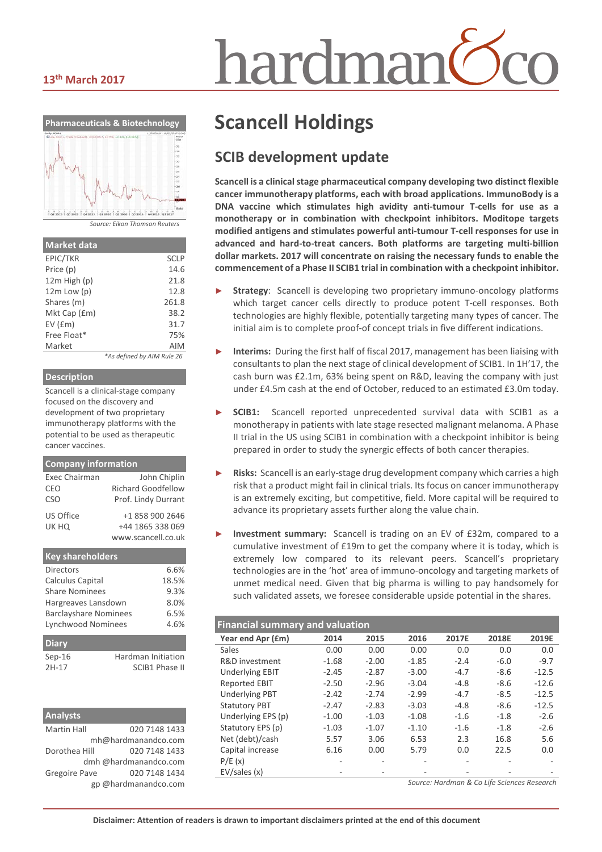#### **13th March 2017**



*Source: Eikon Thomson Reuters*

| <b>Market data</b> |                            |
|--------------------|----------------------------|
| EPIC/TKR           | <b>SCLP</b>                |
| Price (p)          | 14.6                       |
| $12m$ High $(p)$   | 21.8                       |
| $12m$ Low $(p)$    | 12.8                       |
| Shares (m)         | 261.8                      |
| Mkt Cap (£m)       | 38.2                       |
| $EV$ ( $Em$ )      | 31.7                       |
| Free Float*        | 75%                        |
| Market             | AIM                        |
|                    | *As defined by AIM Rule 26 |

#### **Description**

Scancell is a clinical-stage company focused on the discovery and development of two proprietary immunotherapy platforms with the potential to be used as therapeutic cancer vaccines.

| <b>Company information</b> |                                           |
|----------------------------|-------------------------------------------|
| Exec Chairman<br>CEO       | John Chiplin<br><b>Richard Goodfellow</b> |
| <b>CSO</b>                 | Prof. Lindy Durrant                       |
| US Office                  | +1 858 900 2646                           |
| UK HQ                      | +44 1865 338 069                          |
|                            | www.scancell.co.uk                        |
|                            |                                           |

| <b>Key shareholders</b>        |      |       |  |
|--------------------------------|------|-------|--|
| Directors                      |      |       |  |
| Calculus Capital               |      | 18.5% |  |
| <b>Share Nominees</b>          | 9.3% |       |  |
| Hargreaves Lansdown            | 8.0% |       |  |
| <b>Barclayshare Nominees</b>   | 6.5% |       |  |
| Lynchwood Nominees             | 4.6% |       |  |
| <b>Diary</b>                   |      |       |  |
| Hardman Initiation<br>$Sep-16$ |      |       |  |
| <b>SCIB1 Phase II</b><br>2H-17 |      |       |  |

| <b>Analysts</b>      |                       |
|----------------------|-----------------------|
| <b>Martin Hall</b>   | 020 7148 1433         |
|                      | mh@hardmanandco.com   |
| Dorothea Hill        | 020 7148 1433         |
|                      | dmh @hardmanandco.com |
| <b>Gregoire Pave</b> | 020 7148 1434         |
|                      | gp @hardmanandco.com  |

# hardmar

# **Scancell Holdings**

#### **SCIB development update**

**Scancell is a clinical stage pharmaceutical company developing two distinct flexible cancer immunotherapy platforms, each with broad applications. ImmunoBody is a DNA vaccine which stimulates high avidity anti-tumour T-cells for use as a monotherapy or in combination with checkpoint inhibitors. Moditope targets modified antigens and stimulates powerful anti-tumour T-cell responses for use in advanced and hard-to-treat cancers. Both platforms are targeting multi-billion dollar markets. 2017 will concentrate on raising the necessary funds to enable the commencement of a Phase II SCIB1 trial in combination with a checkpoint inhibitor.**

- **Strategy**: Scancell is developing two proprietary immuno-oncology platforms which target cancer cells directly to produce potent T-cell responses. Both technologies are highly flexible, potentially targeting many types of cancer. The initial aim is to complete proof-of concept trials in five different indications.
- Interims: During the first half of fiscal 2017, management has been liaising with consultants to plan the next stage of clinical development of SCIB1. In 1H'17, the cash burn was £2.1m, 63% being spent on R&D, leaving the company with just under £4.5m cash at the end of October, reduced to an estimated £3.0m today.
- SCIB1: Scancell reported unprecedented survival data with SCIB1 as a monotherapy in patients with late stage resected malignant melanoma. A Phase II trial in the US using SCIB1 in combination with a checkpoint inhibitor is being prepared in order to study the synergic effects of both cancer therapies.
- ► **Risks:** Scancell is an early-stage drug development company which carries a high risk that a product might fail in clinical trials. Its focus on cancer immunotherapy is an extremely exciting, but competitive, field. More capital will be required to advance its proprietary assets further along the value chain.
- **Investment summary:** Scancell is trading on an EV of £32m, compared to a cumulative investment of £19m to get the company where it is today, which is extremely low compared to its relevant peers. Scancell's proprietary technologies are in the 'hot' area of immuno-oncology and targeting markets of unmet medical need. Given that big pharma is willing to pay handsomely for such validated assets, we foresee considerable upside potential in the shares.

| <b>Financial summary and valuation</b> |         |         |         |        |        |         |  |
|----------------------------------------|---------|---------|---------|--------|--------|---------|--|
| Year end Apr (£m)                      | 2014    | 2015    | 2016    | 2017E  | 2018E  | 2019E   |  |
| Sales                                  | 0.00    | 0.00    | 0.00    | 0.0    | 0.0    | 0.0     |  |
| R&D investment                         | $-1.68$ | $-2.00$ | $-1.85$ | $-2.4$ | $-6.0$ | $-9.7$  |  |
| <b>Underlying EBIT</b>                 | $-2.45$ | $-2.87$ | $-3.00$ | $-4.7$ | $-8.6$ | $-12.5$ |  |
| <b>Reported EBIT</b>                   | $-2.50$ | $-2.96$ | $-3.04$ | $-4.8$ | $-8.6$ | $-12.6$ |  |
| <b>Underlying PBT</b>                  | $-2.42$ | $-2.74$ | $-2.99$ | $-4.7$ | $-8.5$ | $-12.5$ |  |
| <b>Statutory PBT</b>                   | $-2.47$ | $-2.83$ | $-3.03$ | $-4.8$ | $-8.6$ | $-12.5$ |  |
| Underlying EPS (p)                     | $-1.00$ | $-1.03$ | $-1.08$ | $-1.6$ | $-1.8$ | $-2.6$  |  |
| Statutory EPS (p)                      | $-1.03$ | $-1.07$ | $-1.10$ | $-1.6$ | $-1.8$ | $-2.6$  |  |
| Net (debt)/cash                        | 5.57    | 3.06    | 6.53    | 2.3    | 16.8   | 5.6     |  |
| Capital increase                       | 6.16    | 0.00    | 5.79    | 0.0    | 22.5   | 0.0     |  |
| P/E(x)                                 |         |         |         |        |        |         |  |
| EV/sales(x)                            |         |         |         |        |        |         |  |

*Source: Hardman & Co Life Sciences Research*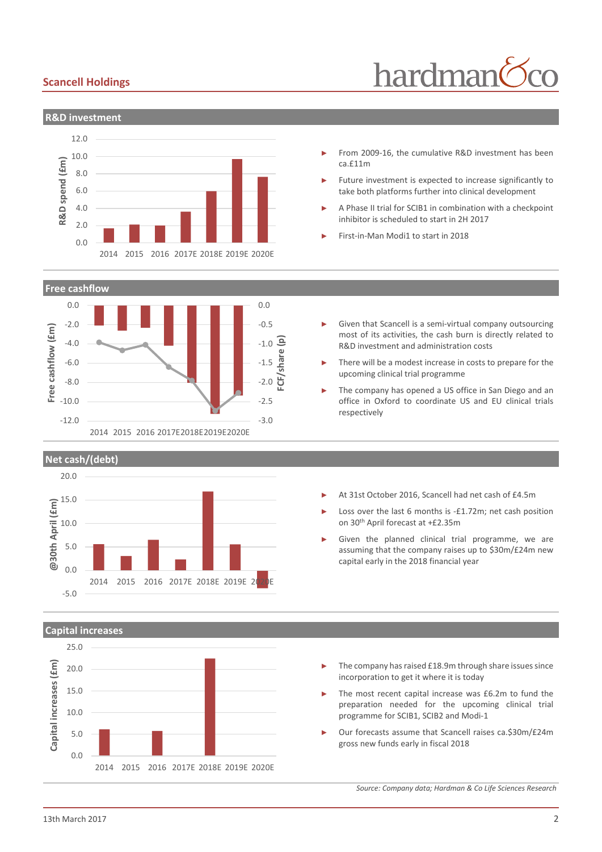#### **Scancell Holdings**

# hardman



- From 2009-16, the cumulative R&D investment has been ca.£11m
- Future investment is expected to increase significantly to take both platforms further into clinical development
- A Phase II trial for SCIB1 in combination with a checkpoint inhibitor is scheduled to start in 2H 2017

Given that Scancell is a semi-virtual company outsourcing most of its activities, the cash burn is directly related to

There will be a modest increase in costs to prepare for the

The company has opened a US office in San Diego and an office in Oxford to coordinate US and EU clinical trials

R&D investment and administration costs

upcoming clinical trial programme

respectively

► First-in-Man Modi1 to start in 2018

**Free cashflow**



**Net cash/(debt)**



- ► At 31st October 2016, Scancell had net cash of £4.5m
- Loss over the last 6 months is -£1.72m; net cash position on 30th April forecast at +£2.35m
- Given the planned clinical trial programme, we are assuming that the company raises up to \$30m/£24m new capital early in the 2018 financial year

**Capital increases**



- The company has raised £18.9m through share issues since incorporation to get it where it is today
- The most recent capital increase was £6.2m to fund the preparation needed for the upcoming clinical trial programme for SCIB1, SCIB2 and Modi-1
- ► Our forecasts assume that Scancell raises ca.\$30m/£24m gross new funds early in fiscal 2018

*Source: Company data; Hardman & Co Life Sciences Research*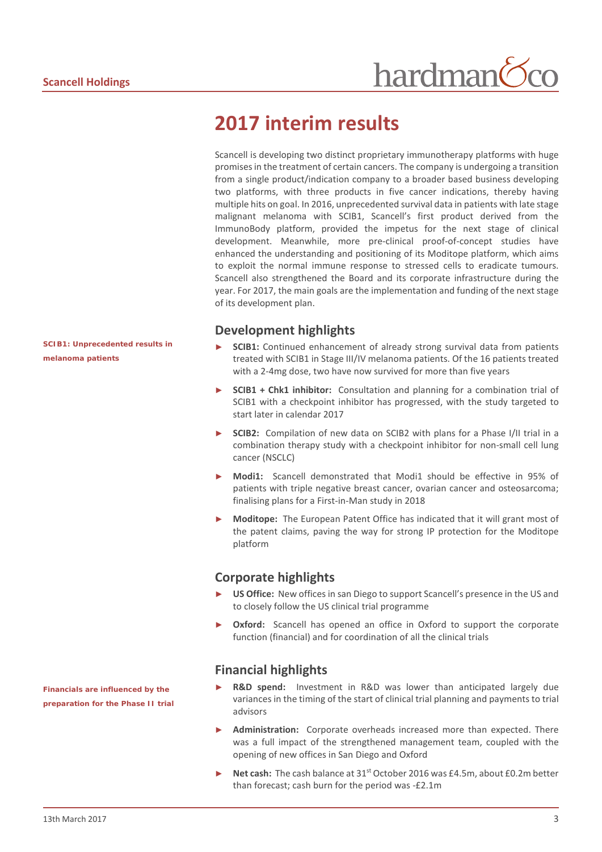## **2017 interim results**

Scancell is developing two distinct proprietary immunotherapy platforms with huge promisesin the treatment of certain cancers. The company is undergoing a transition from a single product/indication company to a broader based business developing two platforms, with three products in five cancer indications, thereby having multiple hits on goal. In 2016, unprecedented survival data in patients with late stage malignant melanoma with SCIB1, Scancell's first product derived from the ImmunoBody platform, provided the impetus for the next stage of clinical development. Meanwhile, more pre-clinical proof-of-concept studies have enhanced the understanding and positioning of its Moditope platform, which aims to exploit the normal immune response to stressed cells to eradicate tumours. Scancell also strengthened the Board and its corporate infrastructure during the year. For 2017, the main goals are the implementation and funding of the next stage of its development plan.

#### **Development highlights**

- ► **SCIB1:** Continued enhancement of already strong survival data from patients treated with SCIB1 in Stage III/IV melanoma patients. Of the 16 patients treated with a 2-4mg dose, two have now survived for more than five years
- SCIB1 + Chk1 inhibitor: Consultation and planning for a combination trial of SCIB1 with a checkpoint inhibitor has progressed, with the study targeted to start later in calendar 2017
- **SCIB2:** Compilation of new data on SCIB2 with plans for a Phase I/II trial in a combination therapy study with a checkpoint inhibitor for non-small cell lung cancer (NSCLC)
- ► **Modi1:** Scancell demonstrated that Modi1 should be effective in 95% of patients with triple negative breast cancer, ovarian cancer and osteosarcoma; finalising plans for a First-in-Man study in 2018
- **Moditope:** The European Patent Office has indicated that it will grant most of the patent claims, paving the way for strong IP protection for the Moditope platform

#### **Corporate highlights**

- US Office: New offices in san Diego to support Scancell's presence in the US and to closely follow the US clinical trial programme
- **Oxford:** Scancell has opened an office in Oxford to support the corporate function (financial) and for coordination of all the clinical trials

#### **Financial highlights**

- **R&D spend:** Investment in R&D was lower than anticipated largely due variances in the timing of the start of clinical trial planning and payments to trial advisors
- Administration: Corporate overheads increased more than expected. There was a full impact of the strengthened management team, coupled with the opening of new offices in San Diego and Oxford
- ► **Net cash:** The cash balance at 31st October 2016 was £4.5m, about £0.2m better than forecast; cash burn for the period was -£2.1m

*SCIB1: Unprecedented results in melanoma patients*

*Financials are influenced by the preparation for the Phase II trial*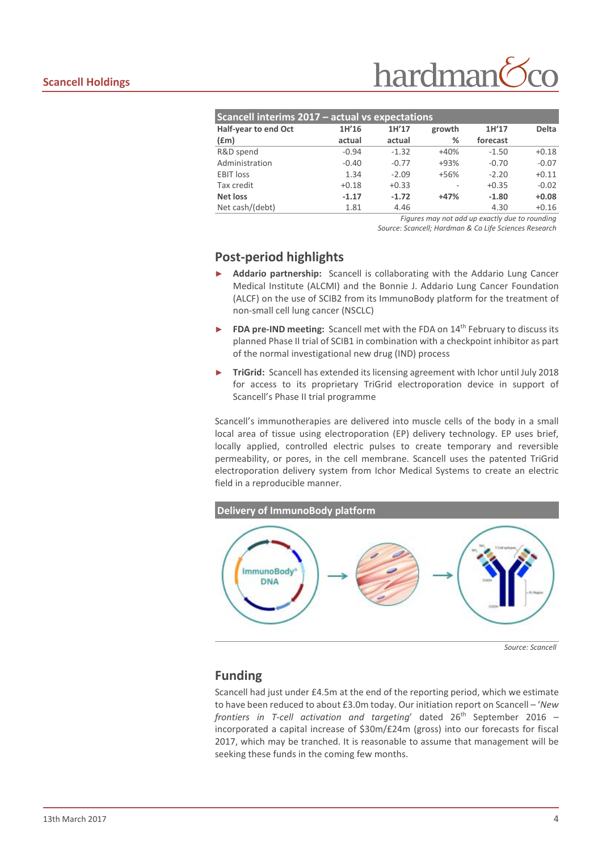| Scancell interims 2017 - actual vs expectations |         |         |        |          |              |  |  |
|-------------------------------------------------|---------|---------|--------|----------|--------------|--|--|
| Half-year to end Oct                            | 1H'16   | 1H'17   | growth | 1H'17    | <b>Delta</b> |  |  |
| f(m)                                            | actual  | actual  | %      | forecast |              |  |  |
| R&D spend                                       | $-0.94$ | $-1.32$ | $+40%$ | $-1.50$  | $+0.18$      |  |  |
| Administration                                  | $-0.40$ | $-0.77$ | $+93%$ | $-0.70$  | $-0.07$      |  |  |
| <b>EBIT</b> loss                                | 1.34    | $-2.09$ | $+56%$ | $-2.20$  | $+0.11$      |  |  |
| Tax credit                                      | $+0.18$ | $+0.33$ |        | $+0.35$  | $-0.02$      |  |  |
| Net loss                                        | $-1.17$ | $-1.72$ | $+47%$ | $-1.80$  | $+0.08$      |  |  |
| Net cash/(debt)                                 | 1.81    | 4.46    |        | 4.30     | $+0.16$      |  |  |
|                                                 |         |         |        |          |              |  |  |

*Figures may not add up exactly due to rounding*

*Source: Scancell; Hardman & Co Life Sciences Research*

#### **Post-period highlights**

- ► **Addario partnership:** Scancell is collaborating with the Addario Lung Cancer Medical Institute (ALCMI) and the Bonnie J. Addario Lung Cancer Foundation (ALCF) on the use of SCIB2 from its ImmunoBody platform for the treatment of non-small cell lung cancer (NSCLC)
- **FDA pre-IND meeting:** Scancell met with the FDA on 14<sup>th</sup> February to discuss its planned Phase II trial of SCIB1 in combination with a checkpoint inhibitor as part of the normal investigational new drug (IND) process
- ► **TriGrid:** Scancell has extended its licensing agreement with Ichor until July 2018 for access to its proprietary TriGrid electroporation device in support of Scancell's Phase II trial programme

Scancell's immunotherapies are delivered into muscle cells of the body in a small local area of tissue using electroporation (EP) delivery technology. EP uses brief, locally applied, controlled electric pulses to create temporary and reversible permeability, or pores, in the cell membrane. Scancell uses the patented TriGrid electroporation delivery system from Ichor Medical Systems to create an electric field in a reproducible manner.



*Source: Scancell*

#### **Funding**

Scancell had just under £4.5m at the end of the reporting period, which we estimate to have been reduced to about £3.0m today. Our initiation report on Scancell – '*New frontiers in T-cell activation and targeting'* dated 26<sup>th</sup> September 2016 – incorporated a capital increase of \$30m/£24m (gross) into our forecasts for fiscal 2017, which may be tranched. It is reasonable to assume that management will be seeking these funds in the coming few months.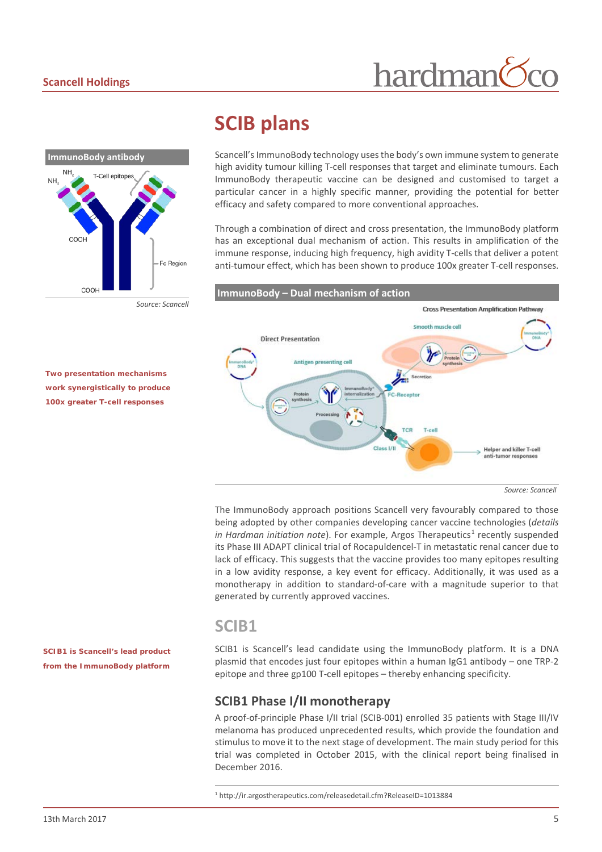# **ImmunoBody antibody NH T-Cell epitor COOH** Ec Region COOH

#### *Source: Scancell*

### **SCIB plans**

Scancell's ImmunoBody technology uses the body's own immune system to generate high avidity tumour killing T-cell responses that target and eliminate tumours. Each ImmunoBody therapeutic vaccine can be designed and customised to target a particular cancer in a highly specific manner, providing the potential for better efficacy and safety compared to more conventional approaches.

hardman

Through a combination of direct and cross presentation, the ImmunoBody platform has an exceptional dual mechanism of action. This results in amplification of the immune response, inducing high frequency, high avidity T-cells that deliver a potent anti-tumour effect, which has been shown to produce 100x greater T-cell responses.

**ImmunoBody – Dual mechanism of action**

*Two presentation mechanisms work synergistically to produce 100x greater T-cell responses*



The ImmunoBody approach positions Scancell very favourably compared to those being adopted by other companies developing cancer vaccine technologies (*details in Hardman initiation note*). For example, Argos Therapeutics<sup>[1](#page-4-0)</sup> recently suspended its Phase III ADAPT clinical trial of Rocapuldencel-T in metastatic renal cancer due to lack of efficacy. This suggests that the vaccine provides too many epitopes resulting in a low avidity response, a key event for efficacy. Additionally, it was used as a monotherapy in addition to standard-of-care with a magnitude superior to that generated by currently approved vaccines.

#### **SCIB1**

SCIB1 is Scancell's lead candidate using the ImmunoBody platform. It is a DNA plasmid that encodes just four epitopes within a human IgG1 antibody – one TRP-2 epitope and three gp100 T-cell epitopes – thereby enhancing specificity.

#### **SCIB1 Phase I/II monotherapy**

A proof-of-principle Phase I/II trial (SCIB-001) enrolled 35 patients with Stage III/IV melanoma has produced unprecedented results, which provide the foundation and stimulus to move it to the next stage of development. The main study period for this trial was completed in October 2015, with the clinical report being finalised in December 2016.

<span id="page-4-0"></span>*SCIB1 is Scancell's lead product from the ImmunoBody platform* 

 <sup>1</sup> http://ir.argostherapeutics.com/releasedetail.cfm?ReleaseID=1013884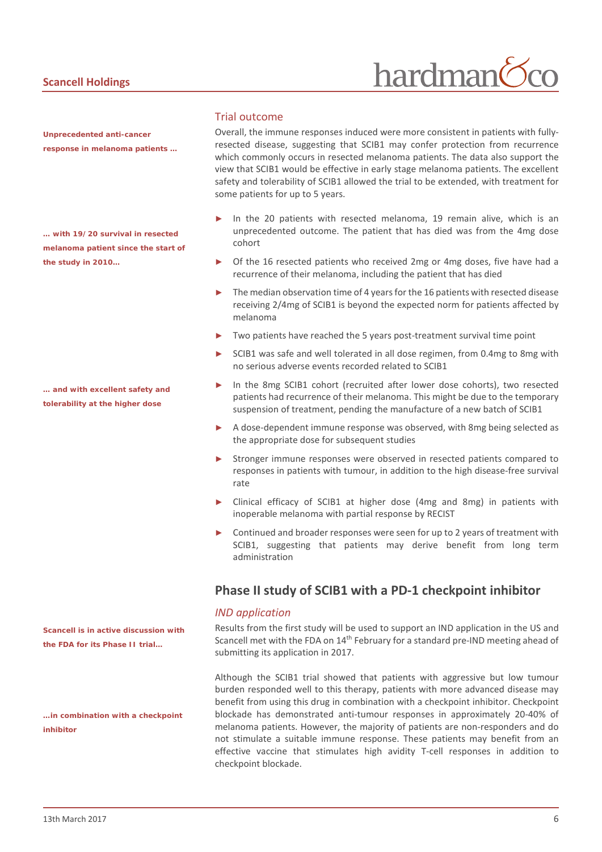#### **Scancell Holdings**

*Unprecedented anti-cancer response in melanoma patients …*

*… with 19/20 survival in resected melanoma patient since the start of the study in 2010…*

*… and with excellent safety and tolerability at the higher dose*

*Scancell is in active discussion with the FDA for its Phase II trial…*

*…in combination with a checkpoint inhibitor*

#### Trial outcome

Overall, the immune responses induced were more consistent in patients with fullyresected disease, suggesting that SCIB1 may confer protection from recurrence which commonly occurs in resected melanoma patients. The data also support the view that SCIB1 would be effective in early stage melanoma patients. The excellent safety and tolerability of SCIB1 allowed the trial to be extended, with treatment for some patients for up to 5 years.

hardman

- In the 20 patients with resected melanoma, 19 remain alive, which is an unprecedented outcome. The patient that has died was from the 4mg dose cohort
- Of the 16 resected patients who received 2mg or 4mg doses, five have had a recurrence of their melanoma, including the patient that has died
- The median observation time of 4 years for the 16 patients with resected disease receiving 2/4mg of SCIB1 is beyond the expected norm for patients affected by melanoma
- Two patients have reached the 5 years post-treatment survival time point
- SCIB1 was safe and well tolerated in all dose regimen, from 0.4mg to 8mg with no serious adverse events recorded related to SCIB1
- In the 8mg SCIB1 cohort (recruited after lower dose cohorts), two resected patients had recurrence of their melanoma. This might be due to the temporary suspension of treatment, pending the manufacture of a new batch of SCIB1
- ► A dose-dependent immune response was observed, with 8mg being selected as the appropriate dose for subsequent studies
- ► Stronger immune responses were observed in resected patients compared to responses in patients with tumour, in addition to the high disease-free survival rate
- Clinical efficacy of SCIB1 at higher dose (4mg and 8mg) in patients with inoperable melanoma with partial response by RECIST
- Continued and broader responses were seen for up to 2 years of treatment with SCIB1, suggesting that patients may derive benefit from long term administration

#### **Phase II study of SCIB1 with a PD-1 checkpoint inhibitor**

#### *IND application*

Results from the first study will be used to support an IND application in the US and Scancell met with the FDA on 14<sup>th</sup> February for a standard pre-IND meeting ahead of submitting its application in 2017.

Although the SCIB1 trial showed that patients with aggressive but low tumour burden responded well to this therapy, patients with more advanced disease may benefit from using this drug in combination with a checkpoint inhibitor. Checkpoint blockade has demonstrated anti-tumour responses in approximately 20-40% of melanoma patients. However, the majority of patients are non-responders and do not stimulate a suitable immune response. These patients may benefit from an effective vaccine that stimulates high avidity T-cell responses in addition to checkpoint blockade.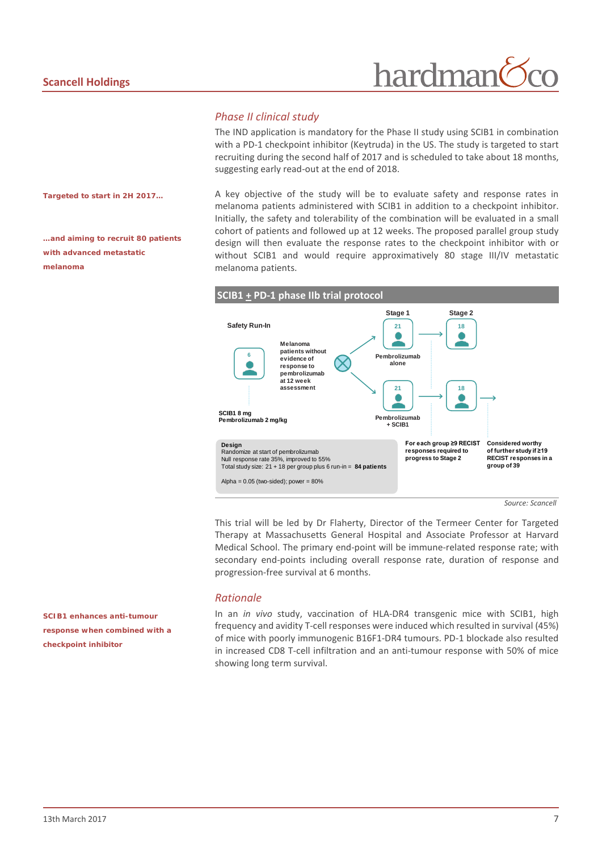# hardman

#### *Phase II clinical study*

The IND application is mandatory for the Phase II study using SCIB1 in combination with a PD-1 checkpoint inhibitor (Keytruda) in the US. The study is targeted to start recruiting during the second half of 2017 and is scheduled to take about 18 months, suggesting early read-out at the end of 2018.

*Targeted to start in 2H 2017…*

*…and aiming to recruit 80 patients with advanced metastatic melanoma* 

A key objective of the study will be to evaluate safety and response rates in melanoma patients administered with SCIB1 in addition to a checkpoint inhibitor. Initially, the safety and tolerability of the combination will be evaluated in a small cohort of patients and followed up at 12 weeks. The proposed parallel group study design will then evaluate the response rates to the checkpoint inhibitor with or without SCIB1 and would require approximatively 80 stage III/IV metastatic melanoma patients.



This trial will be led by Dr Flaherty, Director of the Termeer Center for Targeted Therapy at Massachusetts General Hospital and Associate Professor at Harvard Medical School. The primary end-point will be immune-related response rate; with secondary end-points including overall response rate, duration of response and progression-free survival at 6 months.

#### *Rationale*

In an *in vivo* study, vaccination of HLA-DR4 transgenic mice with SCIB1, high frequency and avidity T-cell responses were induced which resulted in survival (45%) of mice with poorly immunogenic B16F1-DR4 tumours. PD-1 blockade also resulted in increased CD8 T-cell infiltration and an anti-tumour response with 50% of mice showing long term survival.

*SCIB1 enhances anti-tumour response when combined with a checkpoint inhibitor*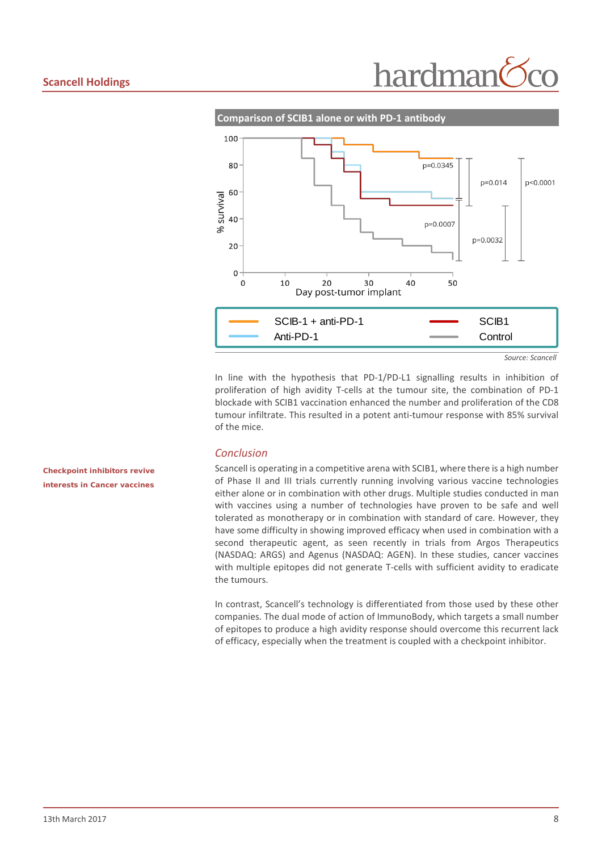



In line with the hypothesis that PD-1/PD-L1 signalling results in inhibition of proliferation of high avidity T-cells at the tumour site, the combination of PD-1 blockade with SCIB1 vaccination enhanced the number and proliferation of the CD8 tumour infiltrate. This resulted in a potent anti-tumour response with 85% survival of the mice.

#### *Conclusion*

Scancell is operating in a competitive arena with SCIB1, where there is a high number of Phase II and III trials currently running involving various vaccine technologies either alone or in combination with other drugs. Multiple studies conducted in man with vaccines using a number of technologies have proven to be safe and well tolerated as monotherapy or in combination with standard of care. However, they have some difficulty in showing improved efficacy when used in combination with a second therapeutic agent, as seen recently in trials from Argos Therapeutics (NASDAQ: ARGS) and Agenus (NASDAQ: AGEN). In these studies, cancer vaccines with multiple epitopes did not generate T-cells with sufficient avidity to eradicate the tumours.

In contrast, Scancell's technology is differentiated from those used by these other companies. The dual mode of action of ImmunoBody, which targets a small number of epitopes to produce a high avidity response should overcome this recurrent lack of efficacy, especially when the treatment is coupled with a checkpoint inhibitor.

*Checkpoint inhibitors revive interests in Cancer vaccines*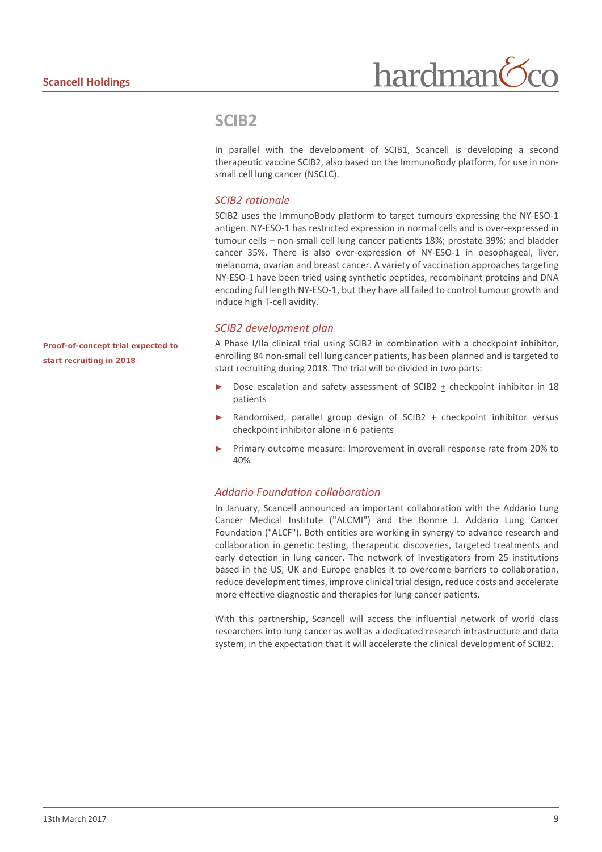

#### **SCIB2**

In parallel with the development of SCIB1, Scancell is developing a second therapeutic vaccine SCIB2, also based on the ImmunoBody platform, for use in nonsmall cell lung cancer (NSCLC).

#### *SCIB2 rationale*

SCIB2 uses the ImmunoBody platform to target tumours expressing the NY-ESO-1 antigen. NY-ESO-1 has restricted expression in normal cells and is over-expressed in tumour cells – non-small cell lung cancer patients 18%; prostate 39%; and bladder cancer 35%. There is also over-expression of NY-ESO-1 in oesophageal, liver, melanoma, ovarian and breast cancer. A variety of vaccination approaches targeting NY-ESO-1 have been tried using synthetic peptides, recombinant proteins and DNA encoding full length NY-ESO-1, but they have all failed to control tumour growth and induce high T-cell avidity.

#### *SCIB2 development plan*

A Phase I/IIa clinical trial using SCIB2 in combination with a checkpoint inhibitor, enrolling 84 non-small cell lung cancer patients, has been planned and is targeted to start recruiting during 2018. The trial will be divided in two parts:

- Dose escalation and safety assessment of SCIB2 + checkpoint inhibitor in 18 patients
- Randomised, parallel group design of SCIB2 + checkpoint inhibitor versus checkpoint inhibitor alone in 6 patients
- Primary outcome measure: Improvement in overall response rate from 20% to 40%

#### *Addario Foundation collaboration*

In January, Scancell announced an important collaboration with the Addario Lung Cancer Medical Institute ("ALCMI") and the Bonnie J. Addario Lung Cancer Foundation ("ALCF"). Both entities are working in synergy to advance research and collaboration in genetic testing, therapeutic discoveries, targeted treatments and early detection in lung cancer. The network of investigators from 25 institutions based in the US, UK and Europe enables it to overcome barriers to collaboration, reduce development times, improve clinical trial design, reduce costs and accelerate more effective diagnostic and therapies for lung cancer patients.

With this partnership, Scancell will access the influential network of world class researchers into lung cancer as well as a dedicated research infrastructure and data system, in the expectation that it will accelerate the clinical development of SCIB2.

*Proof-of-concept trial expected to start recruiting in 2018*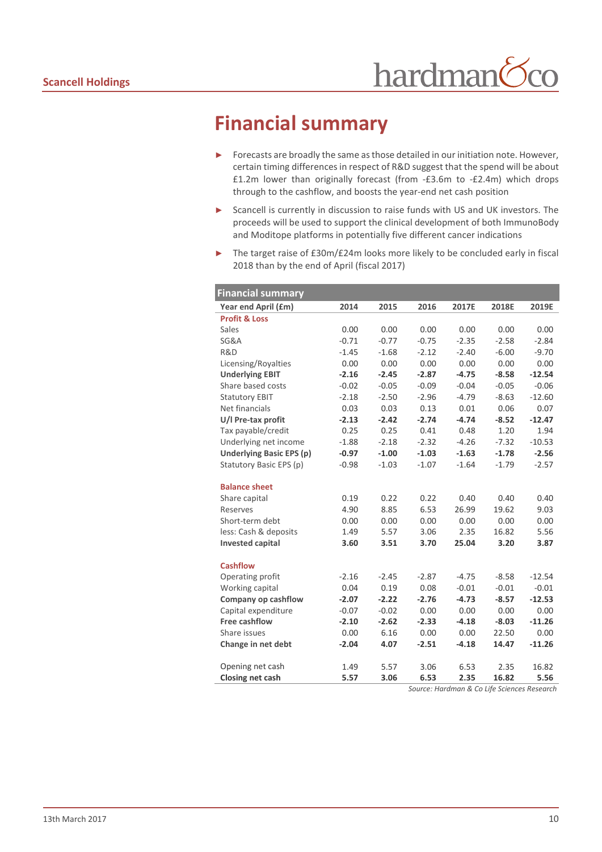### **Financial summary**

- ► Forecasts are broadly the same as those detailed in our initiation note. However, certain timing differences in respect of R&D suggest that the spend will be about £1.2m lower than originally forecast (from -£3.6m to -£2.4m) which drops through to the cashflow, and boosts the year-end net cash position
- ► Scancell is currently in discussion to raise funds with US and UK investors. The proceeds will be used to support the clinical development of both ImmunoBody and Moditope platforms in potentially five different cancer indications
- The target raise of £30m/£24m looks more likely to be concluded early in fiscal 2018 than by the end of April (fiscal 2017)

| <b>Financial summary</b>        |         |         |         |         |         |          |
|---------------------------------|---------|---------|---------|---------|---------|----------|
| Year end April (£m)             | 2014    | 2015    | 2016    | 2017E   | 2018E   | 2019E    |
| <b>Profit &amp; Loss</b>        |         |         |         |         |         |          |
| Sales                           | 0.00    | 0.00    | 0.00    | 0.00    | 0.00    | 0.00     |
| <b>SG&amp;A</b>                 | $-0.71$ | $-0.77$ | $-0.75$ | $-2.35$ | $-2.58$ | $-2.84$  |
| R&D                             | $-1.45$ | $-1.68$ | $-2.12$ | $-2.40$ | $-6.00$ | $-9.70$  |
| Licensing/Royalties             | 0.00    | 0.00    | 0.00    | 0.00    | 0.00    | 0.00     |
| <b>Underlying EBIT</b>          | $-2.16$ | $-2.45$ | $-2.87$ | $-4.75$ | $-8.58$ | $-12.54$ |
| Share based costs               | $-0.02$ | $-0.05$ | $-0.09$ | $-0.04$ | $-0.05$ | $-0.06$  |
| <b>Statutory EBIT</b>           | $-2.18$ | $-2.50$ | $-2.96$ | $-4.79$ | $-8.63$ | $-12.60$ |
| Net financials                  | 0.03    | 0.03    | 0.13    | 0.01    | 0.06    | 0.07     |
| U/I Pre-tax profit              | $-2.13$ | $-2.42$ | $-2.74$ | $-4.74$ | $-8.52$ | $-12.47$ |
| Tax payable/credit              | 0.25    | 0.25    | 0.41    | 0.48    | 1.20    | 1.94     |
| Underlying net income           | $-1.88$ | $-2.18$ | $-2.32$ | $-4.26$ | $-7.32$ | $-10.53$ |
| <b>Underlying Basic EPS (p)</b> | $-0.97$ | $-1.00$ | $-1.03$ | $-1.63$ | $-1.78$ | $-2.56$  |
| Statutory Basic EPS (p)         | $-0.98$ | $-1.03$ | $-1.07$ | $-1.64$ | $-1.79$ | $-2.57$  |
|                                 |         |         |         |         |         |          |
| <b>Balance sheet</b>            |         |         |         |         |         |          |
| Share capital                   | 0.19    | 0.22    | 0.22    | 0.40    | 0.40    | 0.40     |
| Reserves                        | 4.90    | 8.85    | 6.53    | 26.99   | 19.62   | 9.03     |
| Short-term debt                 | 0.00    | 0.00    | 0.00    | 0.00    | 0.00    | 0.00     |
| less: Cash & deposits           | 1.49    | 5.57    | 3.06    | 2.35    | 16.82   | 5.56     |
| <b>Invested capital</b>         | 3.60    | 3.51    | 3.70    | 25.04   | 3.20    | 3.87     |
| <b>Cashflow</b>                 |         |         |         |         |         |          |
| Operating profit                | $-2.16$ | $-2.45$ | $-2.87$ | $-4.75$ | $-8.58$ | $-12.54$ |
| Working capital                 | 0.04    | 0.19    | 0.08    | $-0.01$ | $-0.01$ | $-0.01$  |
| Company op cashflow             | $-2.07$ | $-2.22$ | $-2.76$ | $-4.73$ | $-8.57$ | $-12.53$ |
| Capital expenditure             | $-0.07$ | $-0.02$ | 0.00    | 0.00    | 0.00    | 0.00     |
| Free cashflow                   | $-2.10$ | $-2.62$ | $-2.33$ | $-4.18$ | $-8.03$ | $-11.26$ |
| Share issues                    | 0.00    | 6.16    | 0.00    | 0.00    | 22.50   | 0.00     |
| Change in net debt              | $-2.04$ | 4.07    | $-2.51$ | $-4.18$ | 14.47   | $-11.26$ |
|                                 |         |         |         |         |         |          |
| Opening net cash                | 1.49    | 5.57    | 3.06    | 6.53    | 2.35    | 16.82    |
| Closing net cash                | 5.57    | 3.06    | 6.53    | 2.35    | 16.82   | 5.56     |

*Source: Hardman & Co Life Sciences Research*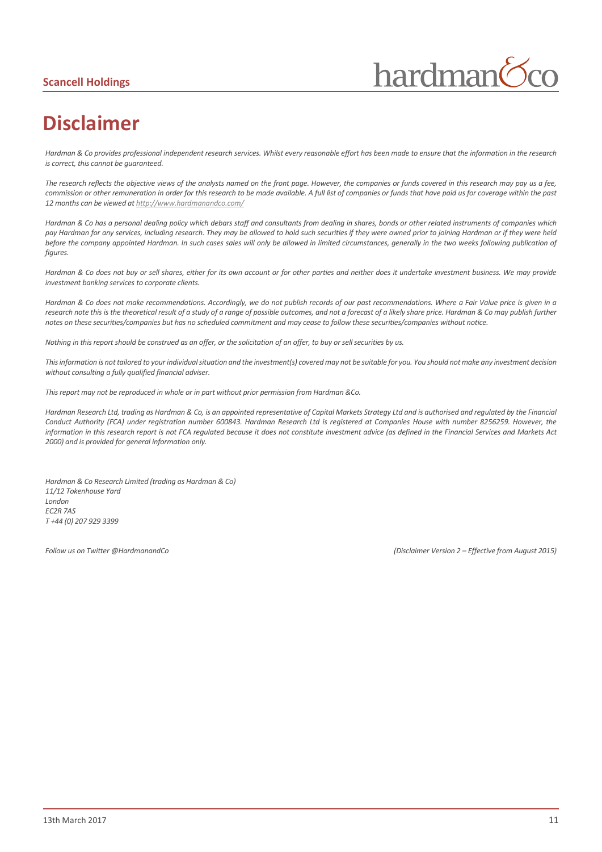#### **Scancell Holdings**



# **Disclaimer**

*Hardman & Co provides professional independent research services. Whilst every reasonable effort has been made to ensure that the information in the research is correct, this cannot be guaranteed.*

*The research reflects the objective views of the analysts named on the front page. However, the companies or funds covered in this research may pay us a fee, commission or other remuneration in order for this research to be made available. A full list of companies or funds that have paid us for coverage within the past 12 months can be viewed a[t http://www.hardmanandco.com/](http://www.hardmanandco.com/)*

*Hardman & Co has a personal dealing policy which debars staff and consultants from dealing in shares, bonds or other related instruments of companies which pay Hardman for any services, including research. They may be allowed to hold such securities if they were owned prior to joining Hardman or if they were held before the company appointed Hardman. In such cases sales will only be allowed in limited circumstances, generally in the two weeks following publication of figures.* 

*Hardman & Co does not buy or sell shares, either for its own account or for other parties and neither does it undertake investment business. We may provide investment banking services to corporate clients.* 

*Hardman & Co does not make recommendations. Accordingly, we do not publish records of our past recommendations. Where a Fair Value price is given in a*  research note this is the theoretical result of a study of a range of possible outcomes, and not a forecast of a likely share price. Hardman & Co may publish further *notes on these securities/companies but has no scheduled commitment and may cease to follow these securities/companies without notice.*

*Nothing in this report should be construed as an offer, or the solicitation of an offer, to buy or sell securities by us.*

*This information is not tailored to your individual situation and the investment(s) covered may not be suitable for you. You should not make any investment decision without consulting a fully qualified financial adviser.*

*This report may not be reproduced in whole or in part without prior permission from Hardman &Co.*

*Hardman Research Ltd, trading as Hardman & Co, is an appointed representative of Capital Markets Strategy Ltd and is authorised and regulated by the Financial Conduct Authority (FCA) under registration number 600843. Hardman Research Ltd is registered at Companies House with number 8256259. However, the information in this research report is not FCA regulated because it does not constitute investment advice (as defined in the Financial Services and Markets Act 2000) and is provided for general information only.*

*Hardman & Co Research Limited (trading as Hardman & Co) 11/12 Tokenhouse Yard London EC2R 7AS T +44 (0) 207 929 3399*

*Follow us on Twitter @HardmanandCo (Disclaimer Version 2 – Effective from August 2015)*